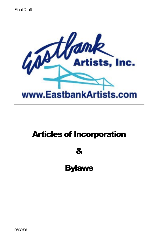

# Articles of Incorporation

&

Bylaws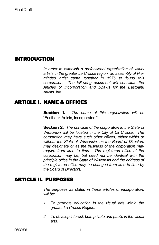# INTRODUCTION

*In order to establish a professional organization of visual artists in the greater La Crosse region, an assembly of likeminded artist came together in 1976 to found this corporation. The following document will constitute the Articles of Incorporation and bylaws for the Eastbank Artists, Inc.*

# ARTICLE I. NAME & OFFICES

Section 1. *The name of this organization will be* "Eastbank Artists, Incorporated."

Section 2. *The principle of the corporation in the State of Wisconsin will be located in the City of La Crosse. The corporation may have such other offices, either within or without the State of Wisconsin, as the Board of Directors may designate or as the business of the corporation may require from time to time. The registered office of the corporation may be, but need not be identical with the principle office in the State of Wisconsin and the address of the registered office may be changed from time to time by the Board of Directors.*

# ARTICLE II. PURPOSES

*The purposes as stated in these articles of incorporation, will be:*

- *1. To promote education in the visual arts within the greater La Crosse Region.*
- *2. To develop interest, both private and public in the visual arts.*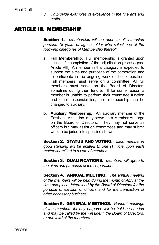*3. To provide examples of excellence in the fine arts and crafts.*

# ARTICLE III. MEMBERSHIP

Section 1. *Membership will be open to all interested persons 18 years of age or older who select one of the following categories of Membership thereof:*

- **a. Full Membership.** Full membership is granted upon successful completion of the adjudication process (see Article VIII). A member in this category is expected to support the aims and purposes of the corporation and to participate in the ongoing work of the corporation. Full members must serve on a committee. All full members must serve on the Board of Directors sometime during their tenure. If for some reason a member is unable to perform their committee function and other responsibilities, their membership can be changed to auxiliary.
- **b. Auxiliary Membership.** An auxiliary member of the Eastbank Artist, Inc. may serve as a Member-At-Large on the Board of Directors. They may not serve as officers but may assist on committees and may submit work to be juried into specified shows

Section 2. STATUS AND VOTING. *Each member in good standing will be entitled to one (1) vote upon each matter submitted to a vote of members.*

Section 3. QUALIFICATIONS. *Members will agree to the aims and purposes of the corporation.*

Section 4. ANNUAL MEETING. *The annual meeting of the members will be held during the month of April at the time and place determined by the Board of Directors for the purpose of election of officers and for the transaction of other necessary business.*

Section 5. GENERAL MEETINGS. *General meetings of the members for any purpose, will be held as needed and may be called by the President, the Board of Directors, or one third of the members.*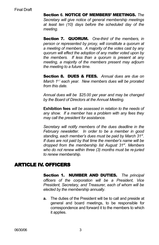Section **6.** NOTICE OF MEMBERS' MEETINGS. *The Secretary will give notice of general membership meetings at least ten (10) days before the scheduled day of the meeting.*

Section 7. QUORUM. *One-third of the members, in person or represented by proxy, will constitute a quorum at a meeting of members. A majority of the votes cast by any quorum will effect the adoption of any matter voted upon by the members. If less than a quorum is present at any meeting, a majority of the members present may adjourn the meeting to a future time.*

Section 8. DUES & FEES. *Annual dues are due on March 1 <sup>s</sup> <sup>t</sup> each year. New members dues will be prorated from this date.*

*Annual dues will be \$25.00 per year and may be changed by the Board of Directors at the Annual Meeting.*

**Exhibition fees** *will be assessed in relation to the needs of any show. If a member has a problem with any fees they may call the president for assistance.*

*Secretary will notify members of the dues deadline in the February newsletter. In order to be a member in good standing, each member's dues must be paid by March 31 st . If dues are not paid by that time the member's name will be dropped from the membership list August 31 st . Members who do not renew within three (3) months must be re-juried to renew membership.*

# ARTICLE IV. OFFICERS

Section 1. NUMBER AND DUTIES. *The principal officers of the corporation will be a President, Vice President, Secretary, and Treasurer, each of whom will be elected by the membership annually.*

**a.** The duties of the President will be to call and preside at general and board meetings, to be responsible for correspondence and forward it to the members to which it applies.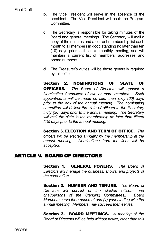- **b.** The Vice President will serve in the absence of the president. The Vice President will chair the Program Committee.
- **c.** The Secretary is responsible for taking minutes of the Board and general meetings. The Secretary will mail a copy of the minutes and a current membership list each month to all members in good standing no later than ten (10) days prior to the next monthly meeting, and will maintain a current list of members' addresses and phone numbers.
- **d.** The Treasurer's duties will be those generally required by this office.

Section 2. NOMINATIONS OF SLATE OF OFFICERS. *The Board of Directors will appoint a Nominating Committee of two or more members. Such appointments will be made no later than sixty (60) days prior to the day of the annual meeting. The nominating committee will deliver the slate of officers to the Secretary thirty (30) days prior to the annual meeting. The Secretary will mail the slate to the membership no later than fifteen (15) days prior to the annual meeting.*

Section 3. ELECTION AND TERM OF OFFICE. *The officers will be elected annually by the membership at the annual meeting. Nominations from the floor will be accepted.*

# ARTICLE V. BOARD OF DIRECTORS

Section 1. GENERAL POWERS**.** *The Board of Directors will manage the business, shows, and projects of the corporation.*

Section 2. NUMBER AND TENURE. *The Board of Directors will consist of the elected officers and chairpersons of the Standing Committees.. Board Members serve for a period of one (1) year starting with the annual meeting. Members may succeed themselves.*

Section 3. BOARD MEETINGS. *A meeting of the Board of Directors will be held without notice, other than this*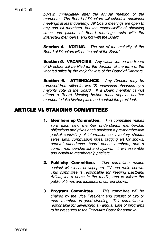*by-law, immediately after the annual meeting of the members. The Board of Directors will schedule additional meetings at least quarterly. All Board meetings are open to any and all members, but the responsibility of obtaining times and places of Board meetings rests with the interested member(s) and not with the Board.*

Section 4. VOTING**.** *The act of the majority of the Board of Directors will be the act of the Board.*

Section 5. VACANCIES. *Any vacancies on the Board of Directors will be filled for the duration of the term of the vacated office by the majority vote of the Board of Directors.*

Section 6. ATTENDANCE. *Any Director may be removed from office for two (2) unexcused absences by a majority vote of the Board. If a Board member cannot attend a Board Meeting he/she must appoint another member to take his/her place and contact the president.*

# ARTICLE VI. STANDING COMMITTEES

- 1. Membership Committee*. This committee makes sure each new member understands membership obligations and gives each applicant a pre-membership packet consisting of information on inventory sheets, sales slips, commission rates, tagging art for shows, general attendance, board phone numbers, and a current membership list and bylaws. It will assemble and distribute membership packets.*
- 2. Publicity Committee*. This committee makes contact with local newspapers, TV and radio shows. This committee is responsible for keeping Eastbank Artists, Inc.'s name in the media, and to inform the public of times and locations of current shows.*
- 3. Program Committee*. This committee will be chaired by the Vice President and consist of two or more members in good standing. This committee is responsible for developing an annual slate of programs to be presented to the Executive Board for approval.*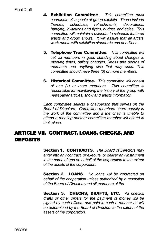- 4. Exhibition Committee*. This committee must coordinate all aspects of group exhibits. These include themes, schedules, refreshments, decorations, hanging, invitations and flyers, budget, and sales. This committee will maintain a calendar to schedule featured artists and group shows. It will assure that all artists' work meets with exhibition standards and deadlines.*
- 5. Telephone Tree Committee. *This committee will call all members in good standing about changes in meeting times, gallery changes, illness and deaths of members and anything else that may arise. This committee should have three (3) or more members.*
- 6. Historical Committee. *This committee will consist of one (1) or more members. This committee is responsible for maintaining the history of the group with newspaper articles, show and artists information*.

*Each committee selects a chairperson that serves on the Board of Directors. Committee members share equally in the work of the committee and if the chair is unable to attend a meeting another committee member will attend in their place.*

# ARTICLE VII. CONTRACT, LOANS, CHECKS, AND DEPOSITS

Section 1. CONTRACTS**.** *The Board of Directors may enter into any contract, or execute, or deliver any instrument in the name of and on behalf of the corporation to the extent of the assets of the corporation.*

Section 2. LOANS. *No loans will be contracted on behalf of the cooperation unless authorized by a resolution of the Board of Directors and all members of the*

Section 3. CHECKS, DRAFTS, ETC**.** *All checks, drafts or other orders for the payment of money will be signed by such officers and paid in such a manner as will be determined by the Board of Directors to the extent of the assets of the corporation.*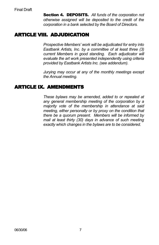Section 4. DEPOSITS. *All funds of the corporation not otherwise assigned will be deposited to the credit of the corporation in a bank selected by the Board of Directors.*

# ARTICLE VIII. ADJUDICATION

*Prospective Members' work will be adjudicated for entry into Eastbank Artists, Inc. by a committee of at least three (3) current Members in good standing. Each adjudicator will evaluate the art work presented independently using criteria provided by Eastbank Artists Inc. (see addendum).*

*Jurying may occur at any of the monthly meetings except the Annual meeting.*

# ARTICLE IX. AMENDMENTS

*These bylaws may be amended, added to or repealed at any general membership meeting of the corporation by a majority vote of the membership in attendance at said meeting, either personally or by proxy on the condition that there be a quorum present. Members will be informed by mail at least thirty (30) days in advance of such meeting exactly which changes in the bylaws are to be considered.*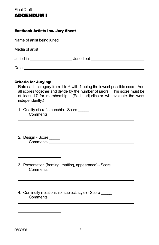

#### Eastbank Artists Inc. Jury Sheet

| Juried in _______________________ | <b>Juried out</b> |
|-----------------------------------|-------------------|
| Date                              |                   |

#### Criteria for Jurying:

 $\overline{a}$  $\overline{a}$ 

 $\overline{a}$  $\overline{a}$  $\overline{a}$ 

 $\overline{a}$  $\overline{a}$  $\overline{a}$ 

 $\overline{a}$  $\overline{a}$  $\overline{a}$ 

|                 | Rate each category from 1 to 6 with 1 being the lowest possible score. Add |  |
|-----------------|----------------------------------------------------------------------------|--|
|                 | all scores together and divide by the number of jurors. This score must be |  |
|                 | at least 17 for membership. (Each adjudicator will evaluate the work       |  |
| independently.) |                                                                            |  |

| 1. Quality of craftsmanship - Score |  |
|-------------------------------------|--|
| Comments                            |  |
|                                     |  |

2. Design - Score \_\_\_\_\_ Comments <u>and the comments</u>

<u> 1989 - Johann Stoff, fransk politik (d. 19</u>

- 3. Presentation (framing, matting, appearance) Score \_\_\_\_\_ Comments
- 4. Continuity (relationship, subject, style) Score \_\_\_\_\_\_ Comments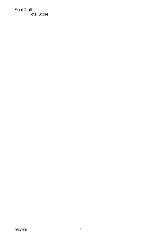Final Draft Total Score \_\_\_\_\_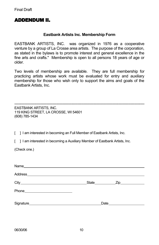# ADDENDUM II.

#### **Eastbank Artists Inc. Membership Form**

EASTBANK ARTISTS, INC. was organized in 1976 as a cooperative venture by a group of La Crosse area artists. The purpose of the corporation, as stated in the bylaws is to promote interest and general excellence in the fine arts and crafts." Membership is open to all persons 18 years of age or older.

Two levels of membership are available. They are full membership for practicing artists whose work must be evaluated for entry and auxiliary membership for those who wish only to support the aims and goals of the Eastbank Artists, Inc.

--------------------------------------------------------------------------------------------------------- EASTBANK ARTISTS, INC. 119 KING STREET, LA CROSSE, WI 54601 (608) 785-1434

[ ] I am interested in becoming an Full Member of Eastbank Artists, Inc.

[ ] I am interested in becoming a Auxiliary Member of Eastbank Artists, Inc.

(Check one.)

| Address experience and a series of the series of the series of the series of the series of the series of the s |                                           |
|----------------------------------------------------------------------------------------------------------------|-------------------------------------------|
|                                                                                                                | State_________________Zip________________ |
|                                                                                                                |                                           |
|                                                                                                                | Date                                      |
|                                                                                                                |                                           |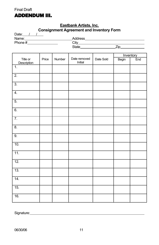

#### **Eastbank Artists, Inc. Consignment Agreement and Inventory Form**

| Date: $1 / 1$                   |       | $\tilde{\phantom{a}}$ |                         |           |       |           |
|---------------------------------|-------|-----------------------|-------------------------|-----------|-------|-----------|
|                                 |       |                       |                         |           |       |           |
|                                 |       |                       |                         |           |       |           |
|                                 |       |                       |                         |           |       |           |
|                                 |       |                       |                         |           |       |           |
|                                 |       |                       |                         |           |       | Inventory |
| Title or                        | Price | Number                | Date removed<br>Initial | Date Sold | Begin | End       |
| Description<br>$\overline{1}$ . |       |                       |                         |           |       |           |
|                                 |       |                       |                         |           |       |           |
| $\overline{2}$ .                |       |                       |                         |           |       |           |
|                                 |       |                       |                         |           |       |           |
| $\overline{3}$ .                |       |                       |                         |           |       |           |
|                                 |       |                       |                         |           |       |           |
| 4.                              |       |                       |                         |           |       |           |
|                                 |       |                       |                         |           |       |           |
| $\overline{5}$ .                |       |                       |                         |           |       |           |
|                                 |       |                       |                         |           |       |           |
| 6.                              |       |                       |                         |           |       |           |
|                                 |       |                       |                         |           |       |           |
| $\overline{7}$ .                |       |                       |                         |           |       |           |
|                                 |       |                       |                         |           |       |           |
| $\overline{8}$ .                |       |                       |                         |           |       |           |
|                                 |       |                       |                         |           |       |           |
| $\overline{9}$ .                |       |                       |                         |           |       |           |
| 10.                             |       |                       |                         |           |       |           |
|                                 |       |                       |                         |           |       |           |
| $\overline{11}$ .               |       |                       |                         |           |       |           |
|                                 |       |                       |                         |           |       |           |
| $\overline{12}$ .               |       |                       |                         |           |       |           |
|                                 |       |                       |                         |           |       |           |
| $\overline{13}$ .               |       |                       |                         |           |       |           |
|                                 |       |                       |                         |           |       |           |
| 14.                             |       |                       |                         |           |       |           |
|                                 |       |                       |                         |           |       |           |
| 15.                             |       |                       |                         |           |       |           |
|                                 |       |                       |                         |           |       |           |
| 16.                             |       |                       |                         |           |       |           |
|                                 |       |                       |                         |           |       |           |

Signature: <u>Contract Contract Contract Contract Contract Contract Contract Contract Contract Contract Contract Contract Contract Contract Contract Contract Contract Contract Contract Contract Contract Contract Contract Con</u>